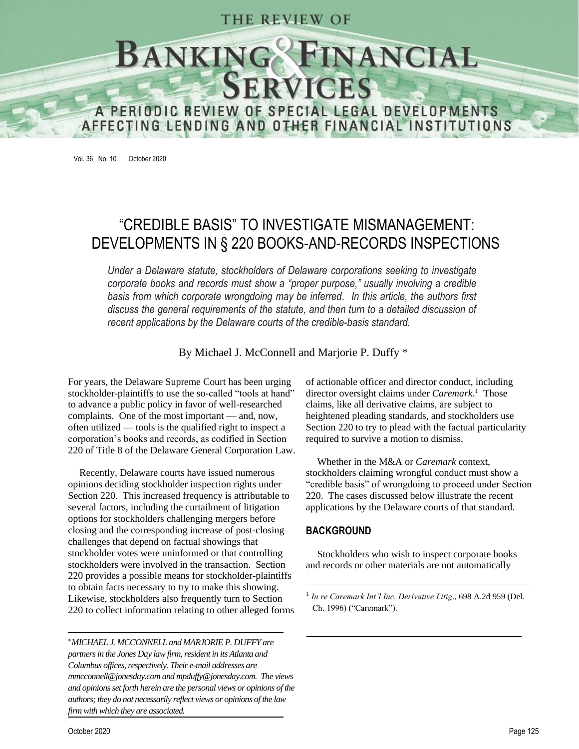### THE REVIEW OF

# NG<sup>O</sup>FINANCIAL<br>SERVICES **BANKING** A PERIODIC REVIEW OF SPECIAL LEGAL DEVELOPMENTS AFFECTING LENDING AND OTHER FINANCIAL INSTITUTIONS

Vol. 36 No. 10 October 2020

## "CREDIBLE BASIS" TO INVESTIGATE MISMANAGEMENT: DEVELOPMENTS IN § 220 BOOKS-AND-RECORDS INSPECTIONS

*Under a Delaware statute, stockholders of Delaware corporations seeking to investigate corporate books and records must show a "proper purpose," usually involving a credible basis from which corporate wrongdoing may be inferred. In this article, the authors first discuss the general requirements of the statute, and then turn to a detailed discussion of recent applications by the Delaware courts of the credible-basis standard.*

By Michael J. McConnell and Marjorie P. Duffy \*

For years, the Delaware Supreme Court has been urging stockholder-plaintiffs to use the so-called "tools at hand" to advance a public policy in favor of well-researched complaints. One of the most important — and, now, often utilized — tools is the qualified right to inspect a corporation's books and records, as codified in Section 220 of Title 8 of the Delaware General Corporation Law.

Recently, Delaware courts have issued numerous opinions deciding stockholder inspection rights under Section 220. This increased frequency is attributable to several factors, including the curtailment of litigation options for stockholders challenging mergers before closing and the corresponding increase of post-closing challenges that depend on factual showings that stockholder votes were uninformed or that controlling stockholders were involved in the transaction. Section 220 provides a possible means for stockholder-plaintiffs to obtain facts necessary to try to make this showing. Likewise, stockholders also frequently turn to Section 220 to collect information relating to other alleged forms

*MICHAEL J. MCCONNELL and MARJORIE P. DUFFY are partners in the Jones Day law firm, resident in its Atlanta and Columbus offices, respectively. Their e-mail addresses are mmcconnell@jonesday.com and mpduffy@jonesday.com. The views and opinions set forth herein are the personal views or opinions of the authors; they do not necessarily reflect views or opinions of the law firm with which they are associated.*

of actionable officer and director conduct, including director oversight claims under *Caremark*.<sup>1</sup> Those claims, like all derivative claims, are subject to heightened pleading standards, and stockholders use Section 220 to try to plead with the factual particularity required to survive a motion to dismiss.

Whether in the M&A or *Caremark* context, stockholders claiming wrongful conduct must show a "credible basis" of wrongdoing to proceed under Section 220. The cases discussed below illustrate the recent applications by the Delaware courts of that standard.

#### **BACKGROUND**

Stockholders who wish to inspect corporate books and records or other materials are not automatically

 $\overline{\phantom{a}}$  , and the contract of the contract of the contract of the contract of the contract of the contract of the contract of the contract of the contract of the contract of the contract of the contract of the contrac

<sup>&</sup>lt;sup>1</sup> In re Caremark Int'l Inc. Derivative Litig., 698 A.2d 959 (Del. Ch. 1996) ("Caremark").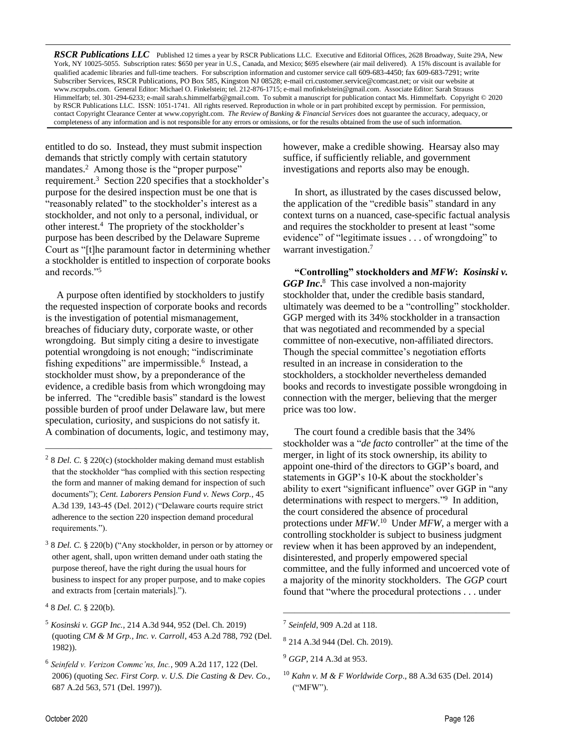*RSCR Publications LLC* Published 12 times a year by RSCR Publications LLC. Executive and Editorial Offices, 2628 Broadway, Suite 29A, New York, NY 10025-5055. Subscription rates: \$650 per year in U.S., Canada, and Mexico; \$695 elsewhere (air mail delivered). A 15% discount is available for qualified academic libraries and full-time teachers. For subscription information and customer service call 609-683-4450; fax 609-683-7291; write Subscriber Services, RSCR Publications, PO Box 585, Kingston NJ 08528; e-mail [cri.customer.service@comcast.net;](mailto:cri.customer.service@comcast.net) or visit our website at www.rscrpubs.com. General Editor: Michael O. Finkelstein; tel. 212-876-1715; e-mail mofinkelstein@gmail.com. Associate Editor: Sarah Strauss Himmelfarb; tel. 301-294-6233; e-mail sarah.s.himmelfarb@gmail.com. To submit a manuscript for publication contact Ms. Himmelfarb. Copyright © 2020 by RSCR Publications LLC. ISSN: 1051-1741. All rights reserved. Reproduction in whole or in part prohibited except by permission. For permission, contact Copyright Clearance Center at [www.copyright.com.](http://www.copyright.com/) *The Review of Banking & Financial Services* does not guarantee the accuracy, adequacy, or completeness of any information and is not responsible for any errors or omissions, or for the results obtained from the use of such information.

entitled to do so. Instead, they must submit inspection demands that strictly comply with certain statutory mandates.<sup>2</sup> Among those is the "proper purpose" requirement.<sup>3</sup> Section 220 specifies that a stockholder's purpose for the desired inspection must be one that is "reasonably related" to the stockholder's interest as a stockholder, and not only to a personal, individual, or other interest.<sup>4</sup> The propriety of the stockholder's purpose has been described by the Delaware Supreme Court as "[t]he paramount factor in determining whether a stockholder is entitled to inspection of corporate books and records."<sup>5</sup>

A purpose often identified by stockholders to justify the requested inspection of corporate books and records is the investigation of potential mismanagement, breaches of fiduciary duty, corporate waste, or other wrongdoing. But simply citing a desire to investigate potential wrongdoing is not enough; "indiscriminate fishing expeditions" are impermissible.<sup>6</sup> Instead, a stockholder must show, by a preponderance of the evidence, a credible basis from which wrongdoing may be inferred. The "credible basis" standard is the lowest possible burden of proof under Delaware law, but mere speculation, curiosity, and suspicions do not satisfy it. A combination of documents, logic, and testimony may,

2 8 *Del. C.* § 220(c) (stockholder making demand must establish that the stockholder "has complied with this section respecting the form and manner of making demand for inspection of such documents"); *Cent. Laborers Pension Fund v. News Corp.*, 45 A.3d 139, 143-45 (Del. 2012) ("Delaware courts require strict adherence to the section 220 inspection demand procedural requirements.").

 $\frac{1}{\sqrt{2}}$  , and the contract of the contract of the contract of the contract of the contract of the contract of the contract of the contract of the contract of the contract of the contract of the contract of the contra

- 3 8 *Del. C.* § 220(b) ("Any stockholder, in person or by attorney or other agent, shall, upon written demand under oath stating the purpose thereof, have the right during the usual hours for business to inspect for any proper purpose, and to make copies and extracts from [certain materials].").
- 4 8 *Del. C.* § 220(b).
- <sup>5</sup> *Kosinski v. GGP Inc.*, 214 A.3d 944, 952 (Del. Ch. 2019) (quoting *CM & M Grp., Inc. v. Carroll*, 453 A.2d 788, 792 (Del. 1982)).
- 6 *Seinfeld v. Verizon Commc'ns, Inc.*, 909 A.2d 117, 122 (Del. 2006) (quoting *Sec. First Corp. v. U.S. Die Casting & Dev. Co.*, 687 A.2d 563*,* 571 (Del. 1997)).

however, make a credible showing. Hearsay also may suffice, if sufficiently reliable, and government investigations and reports also may be enough.

In short, as illustrated by the cases discussed below, the application of the "credible basis" standard in any context turns on a nuanced, case-specific factual analysis and requires the stockholder to present at least "some evidence" of "legitimate issues . . . of wrongdoing" to warrant investigation. 7

**"Controlling" stockholders and** *MFW***:** *Kosinski v.*  GGP Inc.<sup>8</sup> This case involved a non-majority stockholder that, under the credible basis standard, ultimately was deemed to be a "controlling" stockholder. GGP merged with its 34% stockholder in a transaction that was negotiated and recommended by a special committee of non-executive, non-affiliated directors. Though the special committee's negotiation efforts resulted in an increase in consideration to the stockholders, a stockholder nevertheless demanded books and records to investigate possible wrongdoing in connection with the merger, believing that the merger price was too low.

The court found a credible basis that the 34% stockholder was a "*de facto* controller" at the time of the merger, in light of its stock ownership, its ability to appoint one-third of the directors to GGP's board, and statements in GGP's 10-K about the stockholder's ability to exert "significant influence" over GGP in "any determinations with respect to mergers."<sup>9</sup> In addition, the court considered the absence of procedural protections under *MFW*. 10 Under *MFW*, a merger with a controlling stockholder is subject to business judgment review when it has been approved by an independent, disinterested, and properly empowered special committee, and the fully informed and uncoerced vote of a majority of the minority stockholders. The *GGP* court found that "where the procedural protections . . . under

————————————————————

<sup>7</sup> *Seinfeld*, 909 A.2d at 118.

<sup>8</sup> 214 A.3d 944 (Del. Ch. 2019).

<sup>9</sup> *GGP*, 214 A.3d at 953.

<sup>10</sup> *Kahn v. M & F Worldwide Corp*.*,* 88 A.3d 635 (Del. 2014) ("MFW").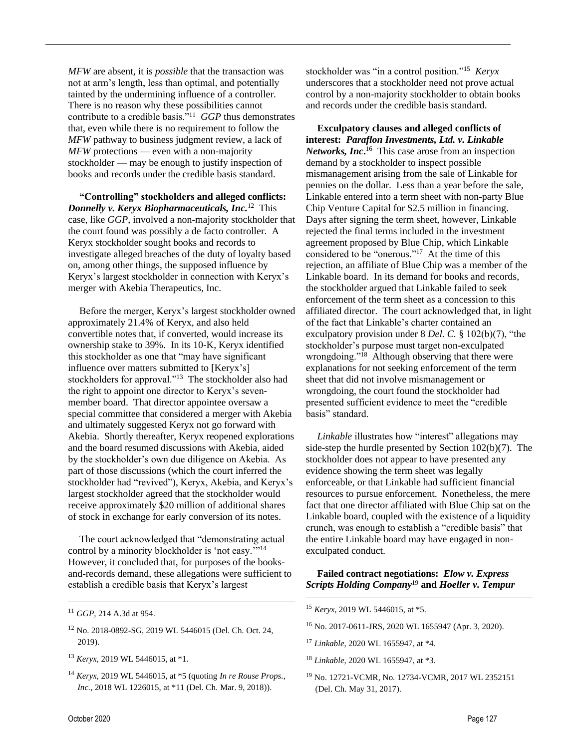*MFW* are absent, it is *possible* that the transaction was not at arm's length, less than optimal, and potentially tainted by the undermining influence of a controller. There is no reason why these possibilities cannot contribute to a credible basis."<sup>11</sup> *GGP* thus demonstrates that, even while there is no requirement to follow the *MFW* pathway to business judgment review, a lack of *MFW* protections — even with a non-majority stockholder — may be enough to justify inspection of books and records under the credible basis standard.

**"Controlling" stockholders and alleged conflicts:**  *Donnelly v. Keryx Biopharmaceuticals, Inc.*<sup>12</sup> This case, like *GGP*, involved a non-majority stockholder that the court found was possibly a de facto controller. A Keryx stockholder sought books and records to investigate alleged breaches of the duty of loyalty based on, among other things, the supposed influence by Keryx's largest stockholder in connection with Keryx's merger with Akebia Therapeutics, Inc.

Before the merger, Keryx's largest stockholder owned approximately 21.4% of Keryx, and also held convertible notes that, if converted, would increase its ownership stake to 39%. In its 10-K, Keryx identified this stockholder as one that "may have significant influence over matters submitted to [Keryx's] stockholders for approval."<sup>13</sup> The stockholder also had the right to appoint one director to Keryx's sevenmember board. That director appointee oversaw a special committee that considered a merger with Akebia and ultimately suggested Keryx not go forward with Akebia. Shortly thereafter, Keryx reopened explorations and the board resumed discussions with Akebia, aided by the stockholder's own due diligence on Akebia. As part of those discussions (which the court inferred the stockholder had "revived"), Keryx, Akebia, and Keryx's largest stockholder agreed that the stockholder would receive approximately \$20 million of additional shares of stock in exchange for early conversion of its notes.

The court acknowledged that "demonstrating actual control by a minority blockholder is 'not easy."<sup>14</sup> However, it concluded that, for purposes of the booksand-records demand, these allegations were sufficient to establish a credible basis that Keryx's largest

 $\frac{1}{\sqrt{2}}$  , and the contract of the contract of the contract of the contract of the contract of the contract of the contract of the contract of the contract of the contract of the contract of the contract of the contra

- <sup>12</sup> No. 2018-0892-SG, 2019 WL 5446015 (Del. Ch. Oct. 24, 2019).
- <sup>13</sup> *Keryx,* 2019 WL 5446015, at \*1.
- <sup>14</sup> *Keryx*, 2019 WL 5446015, at \*5 (quoting *In re Rouse Props., Inc.*, 2018 WL 1226015, at \*11 (Del. Ch. Mar. 9, 2018)).

stockholder was "in a control position."<sup>15</sup> *Keryx* underscores that a stockholder need not prove actual control by a non-majority stockholder to obtain books and records under the credible basis standard.

**Exculpatory clauses and alleged conflicts of interest:** *Paraflon Investments, Ltd. v. Linkable* Networks, Inc.<sup>16</sup> This case arose from an inspection demand by a stockholder to inspect possible mismanagement arising from the sale of Linkable for pennies on the dollar. Less than a year before the sale, Linkable entered into a term sheet with non-party Blue Chip Venture Capital for \$2.5 million in financing. Days after signing the term sheet, however, Linkable rejected the final terms included in the investment agreement proposed by Blue Chip, which Linkable considered to be "onerous."<sup>17</sup> At the time of this rejection, an affiliate of Blue Chip was a member of the Linkable board. In its demand for books and records, the stockholder argued that Linkable failed to seek enforcement of the term sheet as a concession to this affiliated director. The court acknowledged that, in light of the fact that Linkable's charter contained an exculpatory provision under 8 *Del. C.* § 102(b)(7), "the stockholder's purpose must target non-exculpated wrongdoing."<sup>18</sup> Although observing that there were explanations for not seeking enforcement of the term sheet that did not involve mismanagement or wrongdoing, the court found the stockholder had presented sufficient evidence to meet the "credible basis" standard.

*Linkable* illustrates how "interest" allegations may side-step the hurdle presented by Section 102(b)(7). The stockholder does not appear to have presented any evidence showing the term sheet was legally enforceable, or that Linkable had sufficient financial resources to pursue enforcement. Nonetheless, the mere fact that one director affiliated with Blue Chip sat on the Linkable board, coupled with the existence of a liquidity crunch, was enough to establish a "credible basis" that the entire Linkable board may have engaged in nonexculpated conduct.

#### **Failed contract negotiations:** *Elow v. Express Scripts Holding Company*<sup>19</sup> **and** *Hoeller v. Tempur*

————————————————————

- <sup>15</sup> *Keryx,* 2019 WL 5446015, at \*5.
- <sup>16</sup> No. 2017-0611-JRS, 2020 WL 1655947 (Apr. 3, 2020).
- <sup>17</sup> *Linkable*, 2020 WL 1655947, at \*4.
- <sup>18</sup> *Linkable*, 2020 WL 1655947, at \*3.
- <sup>19</sup> No. 12721-VCMR, No. 12734-VCMR, 2017 WL 2352151 (Del. Ch. May 31, 2017).

<sup>11</sup> *GGP*, 214 A.3d at 954.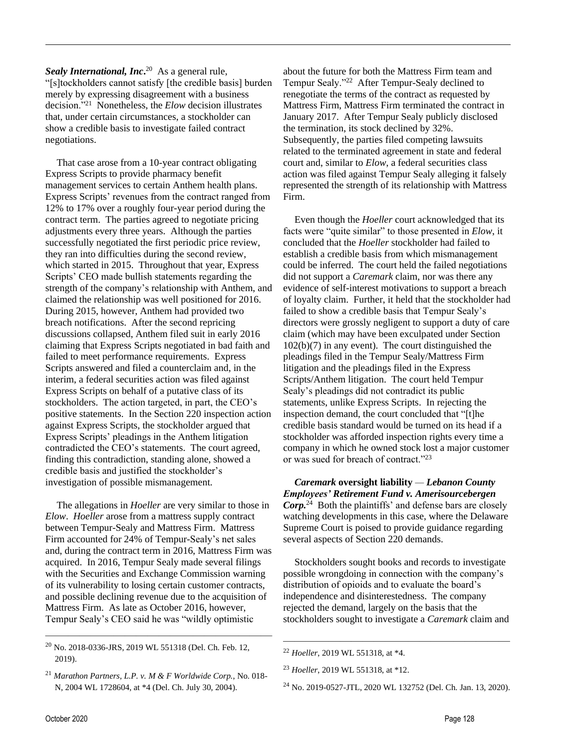Sealy International, Inc.<sup>20</sup> As a general rule, "[s]tockholders cannot satisfy [the credible basis] burden merely by expressing disagreement with a business decision."<sup>21</sup> Nonetheless, the *Elow* decision illustrates that, under certain circumstances, a stockholder can show a credible basis to investigate failed contract negotiations.

That case arose from a 10-year contract obligating Express Scripts to provide pharmacy benefit management services to certain Anthem health plans. Express Scripts' revenues from the contract ranged from 12% to 17% over a roughly four-year period during the contract term. The parties agreed to negotiate pricing adjustments every three years. Although the parties successfully negotiated the first periodic price review, they ran into difficulties during the second review, which started in 2015. Throughout that year, Express Scripts' CEO made bullish statements regarding the strength of the company's relationship with Anthem, and claimed the relationship was well positioned for 2016. During 2015, however, Anthem had provided two breach notifications. After the second repricing discussions collapsed, Anthem filed suit in early 2016 claiming that Express Scripts negotiated in bad faith and failed to meet performance requirements. Express Scripts answered and filed a counterclaim and, in the interim, a federal securities action was filed against Express Scripts on behalf of a putative class of its stockholders. The action targeted, in part, the CEO's positive statements. In the Section 220 inspection action against Express Scripts, the stockholder argued that Express Scripts' pleadings in the Anthem litigation contradicted the CEO's statements. The court agreed, finding this contradiction, standing alone, showed a credible basis and justified the stockholder's investigation of possible mismanagement.

The allegations in *Hoeller* are very similar to those in *Elow*. *Hoeller* arose from a mattress supply contract between Tempur-Sealy and Mattress Firm. Mattress Firm accounted for 24% of Tempur-Sealy's net sales and, during the contract term in 2016, Mattress Firm was acquired. In 2016, Tempur Sealy made several filings with the Securities and Exchange Commission warning of its vulnerability to losing certain customer contracts, and possible declining revenue due to the acquisition of Mattress Firm. As late as October 2016, however, Tempur Sealy's CEO said he was "wildly optimistic

<sup>20</sup> No. 2018-0336-JRS, 2019 WL 551318 (Del. Ch. Feb. 12, 2019).

 $\frac{1}{\sqrt{2}}$  , and the contract of the contract of the contract of the contract of the contract of the contract of the contract of the contract of the contract of the contract of the contract of the contract of the contra

about the future for both the Mattress Firm team and Tempur Sealy."<sup>22</sup> After Tempur-Sealy declined to renegotiate the terms of the contract as requested by Mattress Firm, Mattress Firm terminated the contract in January 2017. After Tempur Sealy publicly disclosed the termination, its stock declined by 32%. Subsequently, the parties filed competing lawsuits related to the terminated agreement in state and federal court and, similar to *Elow*, a federal securities class action was filed against Tempur Sealy alleging it falsely represented the strength of its relationship with Mattress Firm.

Even though the *Hoeller* court acknowledged that its facts were "quite similar" to those presented in *Elow*, it concluded that the *Hoeller* stockholder had failed to establish a credible basis from which mismanagement could be inferred. The court held the failed negotiations did not support a *Caremark* claim, nor was there any evidence of self-interest motivations to support a breach of loyalty claim. Further, it held that the stockholder had failed to show a credible basis that Tempur Sealy's directors were grossly negligent to support a duty of care claim (which may have been exculpated under Section 102(b)(7) in any event). The court distinguished the pleadings filed in the Tempur Sealy/Mattress Firm litigation and the pleadings filed in the Express Scripts/Anthem litigation. The court held Tempur Sealy's pleadings did not contradict its public statements, unlike Express Scripts. In rejecting the inspection demand, the court concluded that "[t]he credible basis standard would be turned on its head if a stockholder was afforded inspection rights every time a company in which he owned stock lost a major customer or was sued for breach of contract."<sup>23</sup>

*Caremark* **oversight liability** *— Lebanon County Employees' Retirement Fund v. Amerisourcebergen*  Corp.<sup>24</sup> Both the plaintiffs' and defense bars are closely watching developments in this case, where the Delaware Supreme Court is poised to provide guidance regarding several aspects of Section 220 demands.

Stockholders sought books and records to investigate possible wrongdoing in connection with the company's distribution of opioids and to evaluate the board's independence and disinterestedness. The company rejected the demand, largely on the basis that the stockholders sought to investigate a *Caremark* claim and

————————————————————

<sup>21</sup> *Marathon Partners, L.P. v. M & F Worldwide Corp.*, No. 018- N, 2004 WL 1728604, at \*4 (Del. Ch. July 30, 2004).

<sup>22</sup> *Hoeller*, 2019 WL 551318, at \*4.

<sup>23</sup> *Hoeller*, 2019 WL 551318, at \*12.

<sup>24</sup> No. 2019-0527-JTL, 2020 WL 132752 (Del. Ch. Jan. 13, 2020).